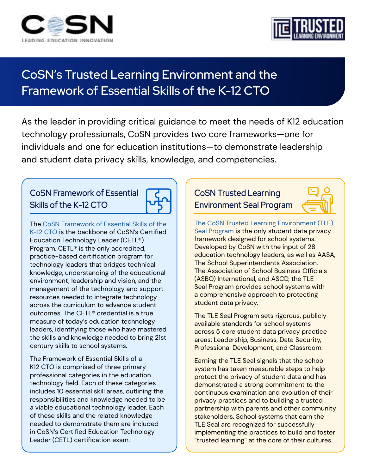



# **CoSN's Trusted Learning Environment and the Framework of Essential Skills of the K-12 CTO**

As the leader in providing critical guidance to meet the needs of K12 education technology professionals, CoSN provides two core frameworks—one for individuals and one for education institutions—to demonstrate leadership and student data privacy skills, knowledge, and competencies.

## **CoSN Framework of Essential Skills of the K-12 CTO**



The [CoSN Framework of Essential Skills of the](https://www.cosn.org/careers-certification/framework-of-essential-skills/)  [K-12 CTO](https://www.cosn.org/careers-certification/framework-of-essential-skills/) is the backbone of CoSN's Certified Education Technology Leader (CETL®) Program. CETL® is the only accredited, practice-based certification program for technology leaders that bridges technical knowledge, understanding of the educational environment, leadership and vision, and the management of the technology and support resources needed to integrate technology across the curriculum to advance student outcomes. The CETL® credential is a true measure of today's education technology leaders, identifying those who have mastered the skills and knowledge needed to bring 21st century skills to school systems.

The Framework of Essential Skills of a K12 CTO is comprised of three primary professional categories in the education technology field. Each of these categories includes 10 essential skill areas, outlining the responsibilities and knowledge needed to be a viable educational technology leader. Each of these skills and the related knowledge needed to demonstrate them are included in CoSN's Certified Education Technology Leader (CETL) certification exam.

## **CoSN Trusted Learning Environment Seal Program**



[The CoSN Trusted Learning Environment \(TLE\)](https://www.cosn.org/edtech-topics/trusted-learning-environment/)  [Seal Program](https://www.cosn.org/edtech-topics/trusted-learning-environment/) is the only student data privacy framework designed for school systems. Developed by CoSN with the input of 28 education technology leaders, as well as AASA, The School Superintendents Association, The Association of School Business Officials (ASBO) International, and ASCD, the TLE Seal Program provides school systems with a comprehensive approach to protecting student data privacy.

The TLE Seal Program sets rigorous, publicly available standards for school systems across 5 core student data privacy practice areas: Leadership, Business, Data Security, Professional Development, and Classroom.

Earning the TLE Seal signals that the school system has taken measurable steps to help protect the privacy of student data and has demonstrated a strong commitment to the continuous examination and evolution of their privacy practices and to building a trusted partnership with parents and other community stakeholders. School systems that earn the TLE Seal are recognized for successfully implementing the practices to build and foster "trusted learning" at the core of their cultures.